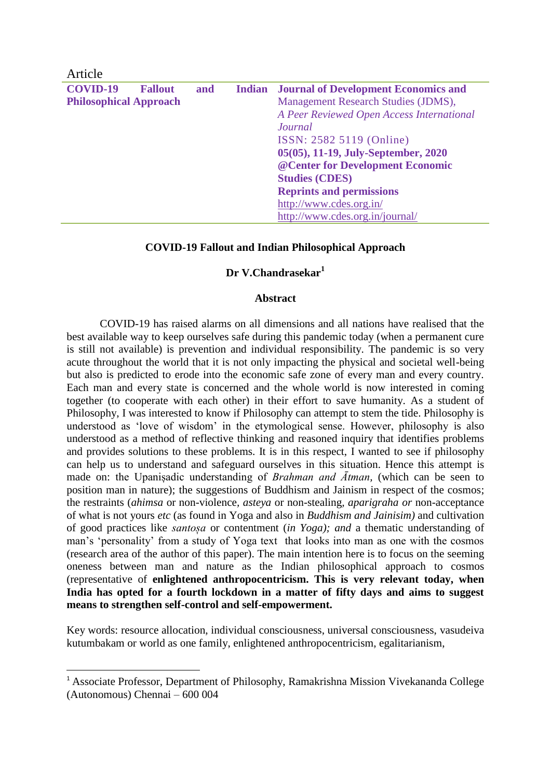| Article                       |                |     |                                                    |
|-------------------------------|----------------|-----|----------------------------------------------------|
| <b>COVID-19</b>               | <b>Fallout</b> | and | <b>Indian</b> Journal of Development Economics and |
| <b>Philosophical Approach</b> |                |     | Management Research Studies (JDMS),                |
|                               |                |     | A Peer Reviewed Open Access International          |
|                               |                |     | Journal                                            |
|                               |                |     | ISSN: 2582 5119 (Online)                           |
|                               |                |     | 05(05), 11-19, July-September, 2020                |
|                               |                |     | @ Center for Development Economic                  |
|                               |                |     | <b>Studies (CDES)</b>                              |
|                               |                |     | <b>Reprints and permissions</b>                    |
|                               |                |     | http://www.cdes.org.in/                            |
|                               |                |     | http://www.cdes.org.in/journal/                    |

### **COVID-19 Fallout and Indian Philosophical Approach**

## **Dr V.Chandrasekar<sup>1</sup>**

#### **Abstract**

COVID-19 has raised alarms on all dimensions and all nations have realised that the best available way to keep ourselves safe during this pandemic today (when a permanent cure is still not available) is prevention and individual responsibility. The pandemic is so very acute throughout the world that it is not only impacting the physical and societal well-being but also is predicted to erode into the economic safe zone of every man and every country. Each man and every state is concerned and the whole world is now interested in coming together (to cooperate with each other) in their effort to save humanity. As a student of Philosophy, I was interested to know if Philosophy can attempt to stem the tide. Philosophy is understood as 'love of wisdom' in the etymological sense. However, philosophy is also understood as a method of reflective thinking and reasoned inquiry that identifies problems and provides solutions to these problems. It is in this respect, I wanted to see if philosophy can help us to understand and safeguard ourselves in this situation. Hence this attempt is made on: the Upanisadic understanding of *Brahman and Ātman*, (which can be seen to position man in nature); the suggestions of Buddhism and Jainism in respect of the cosmos; the restraints (*ahimsa* or non-violence*, asteya* or non-stealing*, aparigraha or* non-acceptance of what is not yours *etc* (as found in Yoga and also in *Buddhism and Jainisim)* and cultivation of good practices like *santosa* or contentment (*in Yoga); and* a thematic understanding of man's 'personality' from a study of Yoga text that looks into man as one with the cosmos (research area of the author of this paper). The main intention here is to focus on the seeming oneness between man and nature as the Indian philosophical approach to cosmos (representative of **enlightened anthropocentricism. This is very relevant today, when India has opted for a fourth lockdown in a matter of fifty days and aims to suggest means to strengthen self-control and self-empowerment.**

Key words: resource allocation, individual consciousness, universal consciousness, vasudeiva kutumbakam or world as one family, enlightened anthropocentricism, egalitarianism,

1

<sup>&</sup>lt;sup>1</sup> Associate Professor, Department of Philosophy, Ramakrishna Mission Vivekananda College (Autonomous) Chennai – 600 004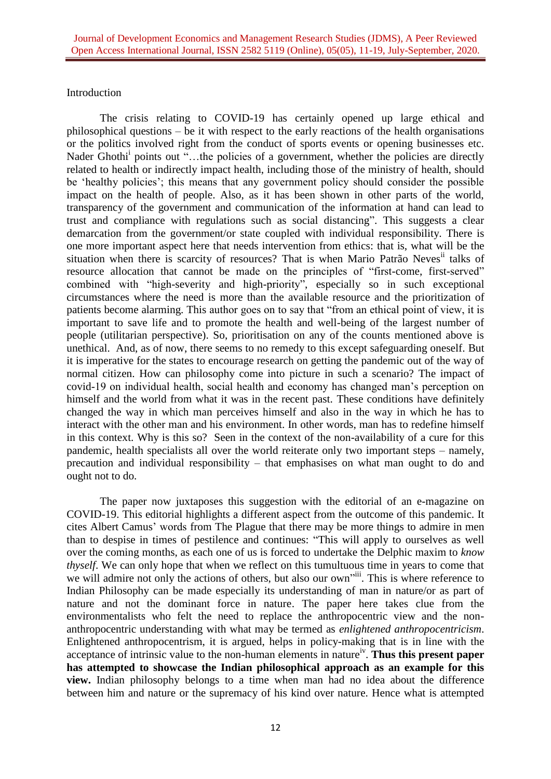# Introduction

The crisis relating to COVID-19 has certainly opened up large ethical and philosophical questions – be it with respect to the early reactions of the health organisations or the politics involved right from the conduct of sports events or opening businesses etc. Nader Ghothi<sup>i</sup> points out "...the policies of a government, whether the policies are directly related to health or indirectly impact health, including those of the ministry of health, should be 'healthy policies'; this means that any government policy should consider the possible impact on the health of people. Also, as it has been shown in other parts of the world, transparency of the government and communication of the information at hand can lead to trust and compliance with regulations such as social distancing". This suggests a clear demarcation from the government/or state coupled with individual responsibility. There is one more important aspect here that needs intervention from ethics: that is, what will be the situation when there is scarcity of resources? That is when Mario Patrão Neves<sup>ii</sup> talks of resource allocation that cannot be made on the principles of "first-come, first-served" combined with "high-severity and high-priority", especially so in such exceptional circumstances where the need is more than the available resource and the prioritization of patients become alarming. This author goes on to say that "from an ethical point of view, it is important to save life and to promote the health and well-being of the largest number of people (utilitarian perspective). So, prioritisation on any of the counts mentioned above is unethical. And, as of now, there seems to no remedy to this except safeguarding oneself. But it is imperative for the states to encourage research on getting the pandemic out of the way of normal citizen. How can philosophy come into picture in such a scenario? The impact of covid-19 on individual health, social health and economy has changed man's perception on himself and the world from what it was in the recent past. These conditions have definitely changed the way in which man perceives himself and also in the way in which he has to interact with the other man and his environment. In other words, man has to redefine himself in this context. Why is this so? Seen in the context of the non-availability of a cure for this pandemic, health specialists all over the world reiterate only two important steps – namely, precaution and individual responsibility – that emphasises on what man ought to do and ought not to do.

The paper now juxtaposes this suggestion with the editorial of an e-magazine on COVID-19. This editorial highlights a different aspect from the outcome of this pandemic. It cites Albert Camus' words from The Plague that there may be more things to admire in men than to despise in times of pestilence and continues: "This will apply to ourselves as well over the coming months, as each one of us is forced to undertake the Delphic maxim to *know thyself*. We can only hope that when we reflect on this tumultuous time in years to come that we will admire not only the actions of others, but also our own"<sup>iii</sup>. This is where reference to Indian Philosophy can be made especially its understanding of man in nature/or as part of nature and not the dominant force in nature. The paper here takes clue from the environmentalists who felt the need to replace the anthropocentric view and the nonanthropocentric understanding with what may be termed as *enlightened anthropocentricism*. Enlightened anthropocentrism, it is argued, helps in policy-making that is in line with the acceptance of intrinsic value to the non-human elements in nature<sup>iv</sup>. Thus this present paper **has attempted to showcase the Indian philosophical approach as an example for this view.** Indian philosophy belongs to a time when man had no idea about the difference between him and nature or the supremacy of his kind over nature. Hence what is attempted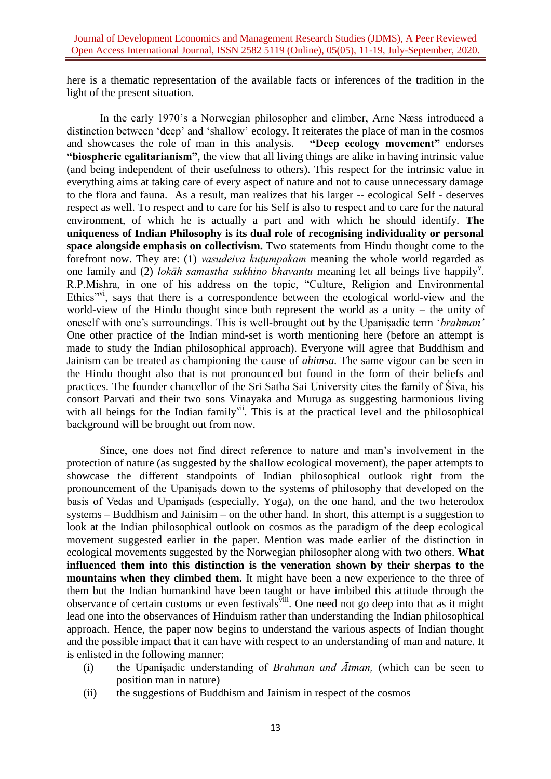here is a thematic representation of the available facts or inferences of the tradition in the light of the present situation.

In the early 1970's a Norwegian philosopher and climber, Arne Nӕss introduced a distinction between 'deep' and 'shallow' ecology. It reiterates the place of man in the cosmos and showcases the role of man in this analysis. **"Deep ecology movement"** endorses **"biospheric egalitarianism"**, the view that all living things are alike in having intrinsic value (and being independent of their usefulness to others). This respect for the intrinsic value in everything aims at taking care of every aspect of nature and not to cause unnecessary damage to the flora and fauna. As a result, man realizes that his larger -- ecological Self - deserves respect as well. To respect and to care for his Self is also to respect and to care for the natural environment, of which he is actually a part and with which he should identify. **The uniqueness of Indian Philosophy is its dual role of recognising individuality or personal space alongside emphasis on collectivism.** Two statements from Hindu thought come to the forefront now. They are: (1) *vasudeiva kutumpakam* meaning the whole world regarded as one family and (2) *lokāh samastha sukhino bhavantu* meaning let all beings live happily<sup>v</sup>. R.P.Mishra, in one of his address on the topic, "Culture, Religion and Environmental Ethics"<sup>vi</sup>, says that there is a correspondence between the ecological world-view and the world-view of the Hindu thought since both represent the world as a unity – the unity of oneself with one's surroundings. This is well-brought out by the Upanis adic term '*brahman'* One other practice of the Indian mind-set is worth mentioning here (before an attempt is made to study the Indian philosophical approach). Everyone will agree that Buddhism and Jainism can be treated as championing the cause of *ahimsa.* The same vigour can be seen in the Hindu thought also that is not pronounced but found in the form of their beliefs and practices. The founder chancellor of the Sri Satha Sai University cites the family of Siva, his consort Parvati and their two sons Vinayaka and Muruga as suggesting harmonious living with all beings for the Indian family<sup>vii</sup>. This is at the practical level and the philosophical background will be brought out from now.

Since, one does not find direct reference to nature and man's involvement in the protection of nature (as suggested by the shallow ecological movement), the paper attempts to showcase the different standpoints of Indian philosophical outlook right from the pronouncement of the Upanisads down to the systems of philosophy that developed on the basis of Vedas and Upanisads (especially, Yoga), on the one hand, and the two heterodox systems – Buddhism and Jainisim – on the other hand. In short, this attempt is a suggestion to look at the Indian philosophical outlook on cosmos as the paradigm of the deep ecological movement suggested earlier in the paper. Mention was made earlier of the distinction in ecological movements suggested by the Norwegian philosopher along with two others. **What influenced them into this distinction is the veneration shown by their sherpas to the mountains when they climbed them.** It might have been a new experience to the three of them but the Indian humankind have been taught or have imbibed this attitude through the observance of certain customs or even festivals<sup>viii</sup>. One need not go deep into that as it might lead one into the observances of Hinduism rather than understanding the Indian philosophical approach. Hence, the paper now begins to understand the various aspects of Indian thought and the possible impact that it can have with respect to an understanding of man and nature. It is enlisted in the following manner:

- (i) the panis adic understanding of *Brahman and Ātman,* (which can be seen to position man in nature)
- (ii) the suggestions of Buddhism and Jainism in respect of the cosmos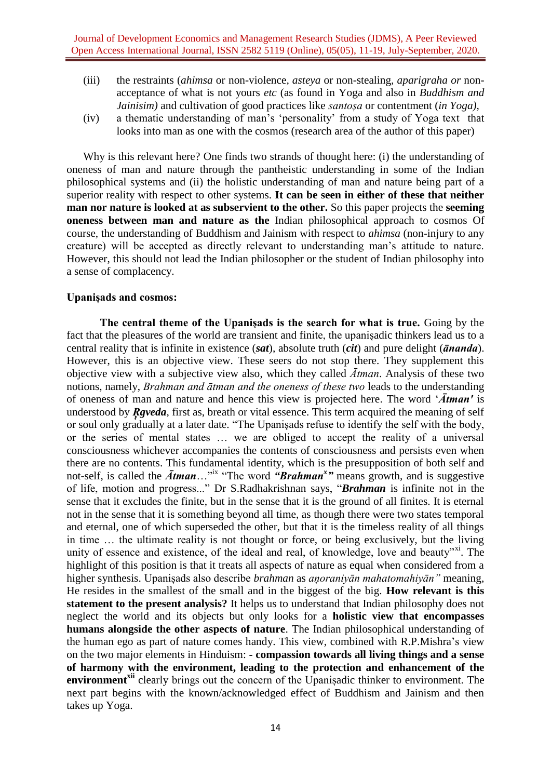- (iii) the restraints (*ahimsa* or non-violence*, asteya* or non-stealing*, aparigraha or* nonacceptance of what is not yours *etc* (as found in Yoga and also in *Buddhism and Jainisim*) and cultivation of good practices like *santosa* or contentment (*in Yoga*),
- (iv) a thematic understanding of man's 'personality' from a study of Yoga text that looks into man as one with the cosmos (research area of the author of this paper)

Why is this relevant here? One finds two strands of thought here: (i) the understanding of oneness of man and nature through the pantheistic understanding in some of the Indian philosophical systems and (ii) the holistic understanding of man and nature being part of a superior reality with respect to other systems. **It can be seen in either of these that neither man nor nature is looked at as subservient to the other.** So this paper projects the **seeming oneness between man and nature as the** Indian philosophical approach to cosmos Of course, the understanding of Buddhism and Jainism with respect to *ahimsa* (non-injury to any creature) will be accepted as directly relevant to understanding man's attitude to nature. However, this should not lead the Indian philosopher or the student of Indian philosophy into a sense of complacency.

### **Upanisads and cosmos:**

The central theme of the Upanisads is the search for what is true. Going by the fact that the pleasures of the world are transient and finite, the upanișadic thinkers lead us to a central reality that is infinite in existence (*sat*), absolute truth (*cit*) and pure delight (*ānanda*). However, this is an objective view. These seers do not stop there. They supplement this objective view with a subjective view also, which they called *Ātman*. Analysis of these two notions, namely, *Brahman and ātman and the oneness of these two* leads to the understanding of oneness of man and nature and hence this view is projected here. The word '*Ātman'* is understood by *Reveda*, first as, breath or vital essence. This term acquired the meaning of self or soul only gradually at a later date. "The Upanisads refuse to identify the self with the body, or the series of mental states … we are obliged to accept the reality of a universal consciousness whichever accompanies the contents of consciousness and persists even when there are no contents. This fundamental identity, which is the presupposition of both self and not-self, is called the  $\overline{A}$ *tman*..."<sup>ix</sup> "The word "**Brahman<sup>x</sup>**" means growth, and is suggestive of life, motion and progress..." Dr S.Radhakrishnan says, "*Brahman* is infinite not in the sense that it excludes the finite, but in the sense that it is the ground of all finites. It is eternal not in the sense that it is something beyond all time, as though there were two states temporal and eternal, one of which superseded the other, but that it is the timeless reality of all things in time … the ultimate reality is not thought or force, or being exclusively, but the living unity of essence and existence, of the ideal and real, of knowledge, love and beauty"xi. The highlight of this position is that it treats all aspects of nature as equal when considered from a higher synthesis. Upanis adso describe *brahman* as *anoraniyan mahatomahiyan* " meaning, He resides in the smallest of the small and in the biggest of the big. **How relevant is this statement to the present analysis?** It helps us to understand that Indian philosophy does not neglect the world and its objects but only looks for a **holistic view that encompasses humans alongside the other aspects of nature**. The Indian philosophical understanding of the human ego as part of nature comes handy. This view, combined with R.P.Mishra's view on the two major elements in Hinduism: **- compassion towards all living things and a sense of harmony with the environment, leading to the protection and enhancement of the environment**<sup>xii</sup> clearly brings out the concern of the Upanis adic thinker to environment. The next part begins with the known/acknowledged effect of Buddhism and Jainism and then takes up Yoga.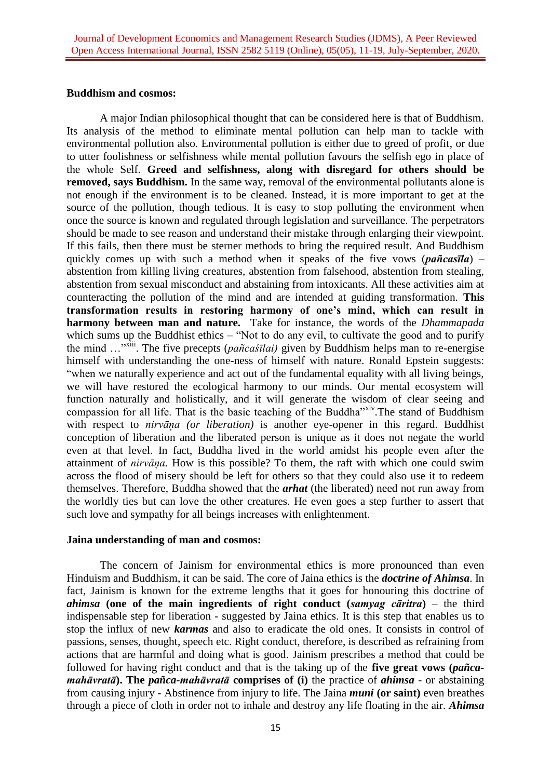### **Buddhism and cosmos:**

A major Indian philosophical thought that can be considered here is that of Buddhism. Its analysis of the method to eliminate mental pollution can help man to tackle with environmental pollution also. Environmental pollution is either due to greed of profit, or due to utter foolishness or selfishness while mental pollution favours the selfish ego in place of the whole Self. **Greed and selfishness, along with disregard for others should be removed, says Buddhism.** In the same way, removal of the environmental pollutants alone is not enough if the environment is to be cleaned. Instead, it is more important to get at the source of the pollution, though tedious. It is easy to stop polluting the environment when once the source is known and regulated through legislation and surveillance. The perpetrators should be made to see reason and understand their mistake through enlarging their viewpoint. If this fails, then there must be sterner methods to bring the required result. And Buddhism quickly comes up with such a method when it speaks of the five vows (*pañcasīla*) – abstention from killing living creatures, abstention from falsehood, abstention from stealing, abstention from sexual misconduct and abstaining from intoxicants. All these activities aim at counteracting the pollution of the mind and are intended at guiding transformation. **This**  transformation results in restoring harmony of one's mind, which can result in **harmony between man and nature.** Take for instance, the words of the *Dhammapada* which sums up the Buddhist ethics – "Not to do any evil, to cultivate the good and to purify the mind ...<sup>"xiii</sup>. The five precepts (*pañcaśīlai*) given by Buddhism helps man to re-energise himself with understanding the one-ness of himself with nature. Ronald Epstein suggests: "when we naturally experience and act out of the fundamental equality with all living beings, we will have restored the ecological harmony to our minds. Our mental ecosystem will function naturally and holistically, and it will generate the wisdom of clear seeing and compassion for all life. That is the basic teaching of the Buddha"xiv. The stand of Buddhism with respect to *nirvāna* (or *liberation*) is another eye-opener in this regard. Buddhist conception of liberation and the liberated person is unique as it does not negate the world even at that level. In fact, Buddha lived in the world amidst his people even after the attainment of *nirvāna*. How is this possible? To them, the raft with which one could swim across the flood of misery should be left for others so that they could also use it to redeem themselves. Therefore, Buddha showed that the *arhat* (the liberated) need not run away from the worldly ties but can love the other creatures. He even goes a step further to assert that such love and sympathy for all beings increases with enlightenment.

### **Jaina understanding of man and cosmos:**

The concern of Jainism for environmental ethics is more pronounced than even Hinduism and Buddhism, it can be said. The core of Jaina ethics is the *doctrine of Ahimsa*. In fact, Jainism is known for the extreme lengths that it goes for honouring this doctrine of *ahimsa* **(one of the main ingredients of right conduct (***samyag cāritra***)** – the third indispensable step for liberation - suggested by Jaina ethics. It is this step that enables us to stop the influx of new *karmas* and also to eradicate the old ones. It consists in control of passions, senses, thought, speech etc. Right conduct, therefore, is described as refraining from actions that are harmful and doing what is good. Jainism prescribes a method that could be followed for having right conduct and that is the taking up of the **five great vows (***pañcamahāvratā***). The** *pañca-mahāvratā* **comprises of (i)** the practice of *ahimsa -* or abstaining from causing injury **-** Abstinence from injury to life. The Jaina *muni* **(or saint)** even breathes through a piece of cloth in order not to inhale and destroy any life floating in the air. *Ahimsa*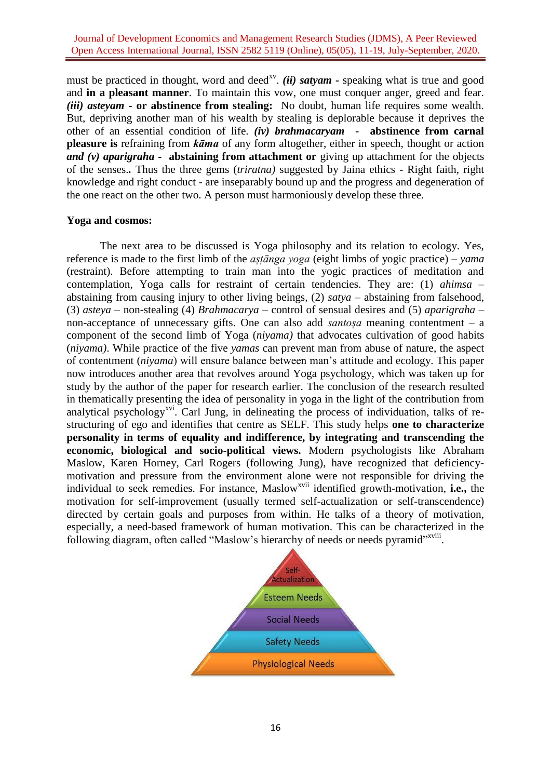must be practiced in thought, word and deed<sup>xv</sup>. (ii) satyam - speaking what is true and good and **in a pleasant manner**. To maintain this vow, one must conquer anger, greed and fear. *(iii) asteyam -* **or abstinence from stealing:** No doubt, human life requires some wealth. But, depriving another man of his wealth by stealing is deplorable because it deprives the other of an essential condition of life. *(iv) brahmacaryam -* **abstinence from carnal pleasure is** refraining from *kāma* of any form altogether, either in speech, thought or action *and (v) aparigraha -* **abstaining from attachment or** giving up attachment for the objects of the senses.*.* Thus the three gems (*triratna)* suggested by Jaina ethics - Right faith, right knowledge and right conduct - are inseparably bound up and the progress and degeneration of the one react on the other two. A person must harmoniously develop these three.

## **Yoga and cosmos:**

The next area to be discussed is Yoga philosophy and its relation to ecology. Yes, reference is made to the first limb of the *astanga voga* (eight limbs of vogic practice) – *yama* (restraint). Before attempting to train man into the yogic practices of meditation and contemplation, Yoga calls for restraint of certain tendencies. They are: (1) *ahimsa* – abstaining from causing injury to other living beings, (2) *satya –* abstaining from falsehood, (3) *asteya –* non-stealing (4) *Brahmacarya –* control of sensual desires and (5) *aparigraha* – non-acceptance of unnecessary gifts. One can also add *santosa* meaning contentment – a component of the second limb of Yoga (*niyama)* that advocates cultivation of good habits (*niyama)*. While practice of the five *yamas* can prevent man from abuse of nature, the aspect of contentment (*niyama*) will ensure balance between man's attitude and ecology. This paper now introduces another area that revolves around Yoga psychology, which was taken up for study by the author of the paper for research earlier. The conclusion of the research resulted in thematically presenting the idea of personality in yoga in the light of the contribution from analytical psychology<sup>xvi</sup>. Carl Jung, in delineating the process of individuation, talks of restructuring of ego and identifies that centre as SELF. This study helps **one to characterize personality in terms of equality and indifference, by integrating and transcending the economic, biological and socio-political views.** Modern psychologists like Abraham Maslow, Karen Horney, Carl Rogers (following Jung), have recognized that deficiencymotivation and pressure from the environment alone were not responsible for driving the individual to seek remedies. For instance, Maslow<sup>xvii</sup> identified growth-motivation, i.e., the motivation for self-improvement (usually termed self-actualization or self-transcendence) directed by certain goals and purposes from within. He talks of a theory of motivation, especially, a need-based framework of human motivation. This can be characterized in the following diagram, often called "Maslow's hierarchy of needs or needs pyramid"<sup>xviii</sup>.

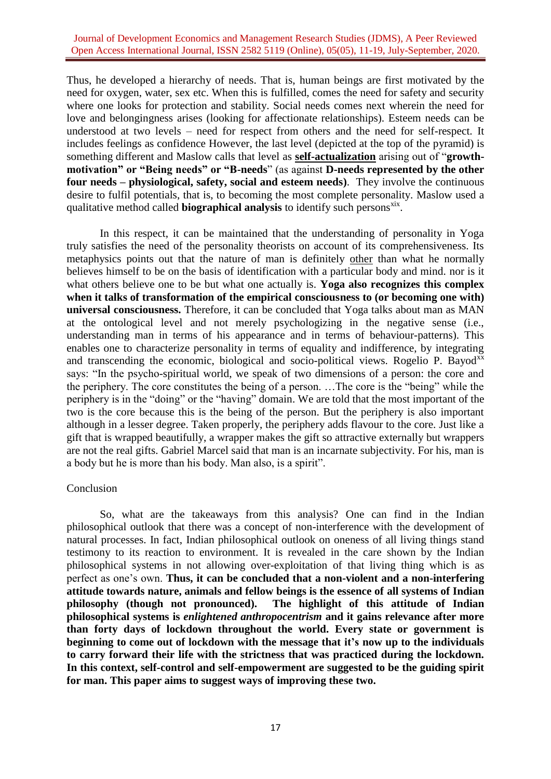### Journal of Development Economics and Management Research Studies (JDMS), A Peer Reviewed Open Access International Journal, ISSN 2582 5119 (Online), 05(05), 11-19, July-September, 2020.

Thus, he developed a hierarchy of needs. That is, human beings are first motivated by the need for oxygen, water, sex etc. When this is fulfilled, comes the need for safety and security where one looks for protection and stability. Social needs comes next wherein the need for love and belongingness arises (looking for affectionate relationships). Esteem needs can be understood at two levels – need for respect from others and the need for self-respect. It includes feelings as confidence However, the last level (depicted at the top of the pyramid) is something different and Maslow calls that level as **self-actualization** arising out of "**growthmotivation" or "Being needs" or "B-needs**" (as against **D-needs represented by the other four needs – physiological, safety, social and esteem needs)**. They involve the continuous desire to fulfil potentials, that is, to becoming the most complete personality. Maslow used a qualitative method called **biographical analysis** to identify such persons<sup>xix</sup>.

In this respect, it can be maintained that the understanding of personality in Yoga truly satisfies the need of the personality theorists on account of its comprehensiveness. Its metaphysics points out that the nature of man is definitely other than what he normally believes himself to be on the basis of identification with a particular body and mind. nor is it what others believe one to be but what one actually is. **Yoga also recognizes this complex when it talks of transformation of the empirical consciousness to (or becoming one with) universal consciousness.** Therefore, it can be concluded that Yoga talks about man as MAN at the ontological level and not merely psychologizing in the negative sense (i.e., understanding man in terms of his appearance and in terms of behaviour-patterns). This enables one to characterize personality in terms of equality and indifference, by integrating and transcending the economic, biological and socio-political views. Rogelio P. Bayod<sup>xx</sup> says: "In the psycho-spiritual world, we speak of two dimensions of a person: the core and the periphery. The core constitutes the being of a person.  $\dots$  The core is the "being" while the periphery is in the "doing" or the "having" domain. We are told that the most important of the two is the core because this is the being of the person. But the periphery is also important although in a lesser degree. Taken properly, the periphery adds flavour to the core. Just like a gift that is wrapped beautifully, a wrapper makes the gift so attractive externally but wrappers are not the real gifts. Gabriel Marcel said that man is an incarnate subjectivity. For his, man is a body but he is more than his body. Man also, is a spirit".

### Conclusion

So, what are the takeaways from this analysis? One can find in the Indian philosophical outlook that there was a concept of non-interference with the development of natural processes. In fact, Indian philosophical outlook on oneness of all living things stand testimony to its reaction to environment. It is revealed in the care shown by the Indian philosophical systems in not allowing over-exploitation of that living thing which is as perfect as one's own. **Thus, it can be concluded that a non-violent and a non-interfering attitude towards nature, animals and fellow beings is the essence of all systems of Indian philosophy (though not pronounced). The highlight of this attitude of Indian philosophical systems is** *enlightened anthropocentrism* **and it gains relevance after more than forty days of lockdown throughout the world. Every state or government is beginning to come out of lockdown with the message that it's now up to the individuals to carry forward their life with the strictness that was practiced during the lockdown. In this context, self-control and self-empowerment are suggested to be the guiding spirit for man. This paper aims to suggest ways of improving these two.**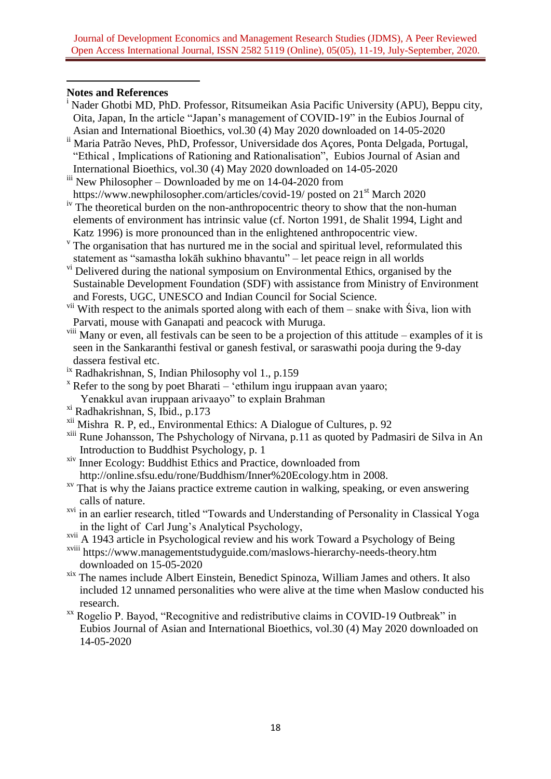# **Notes and References**

**.** 

- <sup>i</sup> Nader Ghotbi MD, PhD. Professor, Ritsumeikan Asia Pacific University (APU), Beppu city, Oita, Japan, In the article "Japan's management of COVID-19" in the Eubios Journal of Asian and International Bioethics, vol.30 (4) May 2020 downloaded on 14-05-2020
- ii Maria Patrão Neves, PhD, Professor, Universidade dos Açores, Ponta Delgada, Portugal, "Ethical , Implications of Rationing and Rationalisation", Eubios Journal of Asian and International Bioethics, vol.30 (4) May 2020 downloaded on 14-05-2020
- iii New Philosopher Downloaded by me on 14-04-2020 from <https://www.newphilosopher.com/articles/covid-19/> posted on 21<sup>st</sup> March 2020
- <sup>iv</sup> The theoretical burden on the non-anthropocentric theory to show that the non-human elements of environment has intrinsic value (cf. Norton 1991, de Shalit 1994, Light and Katz 1996) is more pronounced than in the enlightened anthropocentric view.
- <sup>v</sup> The organisation that has nurtured me in the social and spiritual level, reformulated this statement as "samastha lokāh sukhino bhavantu" – let peace reign in all worlds
- vi Delivered during the national symposium on Environmental Ethics, organised by the Sustainable Development Foundation (SDF) with assistance from Ministry of Environment and Forests, UGC, UNESCO and Indian Council for Social Science.
- <sup>vii</sup> With respect to the animals sported along with each of them snake with Siva, lion with Parvati, mouse with Ganapati and peacock with Muruga.
- <sup>viii</sup> Many or even, all festivals can be seen to be a projection of this attitude examples of it is seen in the Sankaranthi festival or ganesh festival, or saraswathi pooja during the 9-day dassera festival etc.
- ix Radhakrishnan, S, Indian Philosophy vol 1., p.159
- $\overline{X}$  Refer to the song by poet Bharati 'ethilum ingu iruppaan avan yaaro; Yenakkul avan iruppaan arivaayo" to explain Brahman
- xi Radhakrishnan, S, Ibid., p.173
- xii Mishra R. P, ed., Environmental Ethics: A Dialogue of Cultures, p. 92
- xiii Rune Johansson, The Pshychology of Nirvana, p.11 as quoted by Padmasiri de Silva in An Introduction to Buddhist Psychology, p. 1
- $\frac{X}{Y}$  Inner Ecology: Buddhist Ethics and Practice, downloaded from <http://online.sfsu.edu/rone/Buddhism/Inner%20Ecology.htm> in 2008.
- $x<sub>v</sub>$  That is why the Jaians practice extreme caution in walking, speaking, or even answering calls of nature.
- <sup>xvi</sup> in an earlier research, titled "Towards and Understanding of Personality in Classical Yoga in the light of Carl Jung's Analytical Psychology,
- xvii A 1943 article in Psychological review and his work Toward a Psychology of Being
- xviii <https://www.managementstudyguide.com/maslows-hierarchy-needs-theory.htm> downloaded on 15-05-2020
- xix The names include Albert Einstein, Benedict Spinoza, William James and others. It also included 12 unnamed personalities who were alive at the time when Maslow conducted his research.
- $X^X$  Rogelio P. Bayod, "Recognitive and redistributive claims in COVID-19 Outbreak" in Eubios Journal of Asian and International Bioethics, vol.30 (4) May 2020 downloaded on 14-05-2020